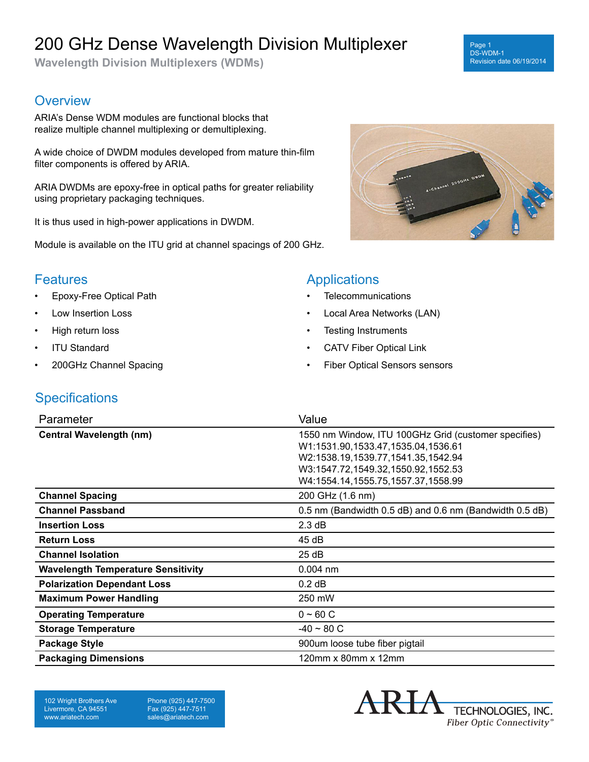# 200 GHz Dense Wavelength Division Multiplexer

**Wavelength Division Multiplexers (WDMs)**

#### **Overview**

ARIA's Dense WDM modules are functional blocks that realize multiple channel multiplexing or demultiplexing.

A wide choice of DWDM modules developed from mature thin-film filter components is offered by ARIA.

ARIA DWDMs are epoxy-free in optical paths for greater reliability using proprietary packaging techniques.

It is thus used in high-power applications in DWDM.

Module is available on the ITU grid at channel spacings of 200 GHz.



Page 1 DS-WDM-1

Revision date 06/19/2014

#### **Features**

- Epoxy-Free Optical Path
- Low Insertion Loss
- High return loss
- **ITU Standard**
- 200GHz Channel Spacing

## Applications

- **Telecommunications**
- Local Area Networks (LAN)
- Testing Instruments
- CATV Fiber Optical Link
- Fiber Optical Sensors sensors

### **Specifications**

| Parameter                                 | Value                                                                                                                                                                                                        |
|-------------------------------------------|--------------------------------------------------------------------------------------------------------------------------------------------------------------------------------------------------------------|
| <b>Central Wavelength (nm)</b>            | 1550 nm Window, ITU 100GHz Grid (customer specifies)<br>W1:1531.90,1533.47,1535.04,1536.61<br>W2:1538.19,1539.77,1541.35,1542.94<br>W3:1547.72,1549.32,1550.92,1552.53<br>W4:1554.14,1555.75,1557.37,1558.99 |
| <b>Channel Spacing</b>                    | 200 GHz (1.6 nm)                                                                                                                                                                                             |
| <b>Channel Passband</b>                   | 0.5 nm (Bandwidth 0.5 dB) and 0.6 nm (Bandwidth 0.5 dB)                                                                                                                                                      |
| <b>Insertion Loss</b>                     | 2.3 dB                                                                                                                                                                                                       |
| <b>Return Loss</b>                        | 45dB                                                                                                                                                                                                         |
| <b>Channel Isolation</b>                  | 25dB                                                                                                                                                                                                         |
| <b>Wavelength Temperature Sensitivity</b> | $0.004$ nm                                                                                                                                                                                                   |
| <b>Polarization Dependant Loss</b>        | $0.2$ dB                                                                                                                                                                                                     |
| <b>Maximum Power Handling</b>             | 250 mW                                                                                                                                                                                                       |
| <b>Operating Temperature</b>              | $0 - 60 C$                                                                                                                                                                                                   |
| <b>Storage Temperature</b>                | $-40 \sim 80 C$                                                                                                                                                                                              |
| <b>Package Style</b>                      | 900um loose tube fiber pigtail                                                                                                                                                                               |
| <b>Packaging Dimensions</b>               | 120mm x 80mm x 12mm                                                                                                                                                                                          |

102 Wright Brothers Ave Livermore, CA 94551 www.ariatech.com

Phone (925) 447-7500 Fax (925) 447-7511 sales@ariatech.com

TECHNOLOGIES, INC. Fiber Optic Connectivity®